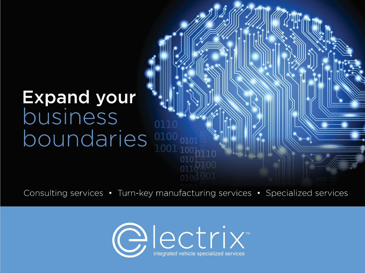# **Expand your** business boundaries<sup>one</sup>

Consulting services • Turn-key manufacturing services • Specialized services

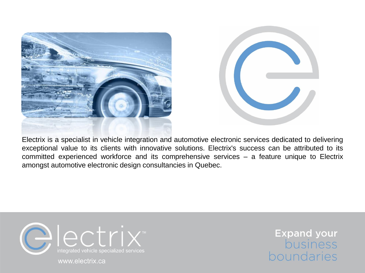



Electrix is a specialist in vehicle integration and automotive electronic services dedicated to delivering exceptional value to its clients with innovative solutions. Electrix's success can be attributed to its committed experienced workforce and its comprehensive services – a feature unique to Electrix amongst automotive electronic design consultancies in Quebec.



**Expand your** business boundaries

www.electrix.ca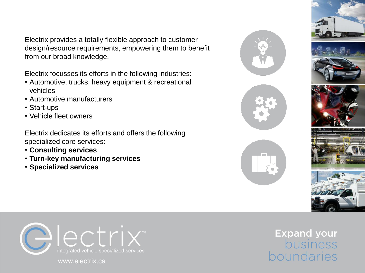Electrix provides a totally flexible approach to customer design/resource requirements, empowering them to benefit from our broad knowledge.

Electrix focusses its efforts in the following industries:

- Automotive, trucks, heavy equipment & recreational vehicles
- Automotive manufacturers
- Start-ups
- Vehicle fleet owners

Electrix dedicates its efforts and offers the following specialized core services:

- **Consulting services**
- **Turn-key manufacturing services**
- **Specialized services**



















www.electrix.ca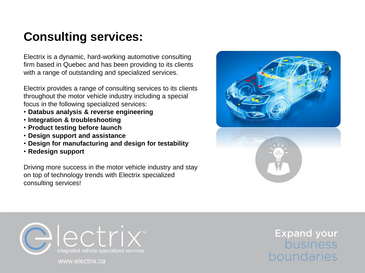## **Consulting services:**

Electrix is a dynamic, hard-working automotive consulting firm based in Quebec and has been providing to its clients with a range of outstanding and specialized services.

Electrix provides a range of consulting services to its clients throughout the motor vehicle industry including a special focus in the following specialized services:

- **Databus analysis & reverse engineering**
- **Integration & troubleshooting**
- **Product testing before launch**
- **Design support and assistance**
- **Design for manufacturing and design for testability**
- **Redesign support**

Driving more success in the motor vehicle industry and stay on top of technology trends with Electrix specialized consulting services!





www.electrix.ca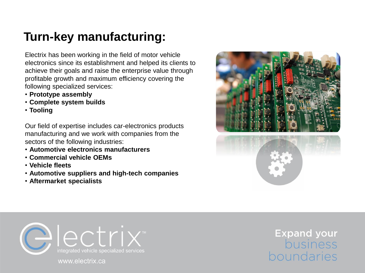## **Turn-key manufacturing:**

Electrix has been working in the field of motor vehicle electronics since its establishment and helped its clients to achieve their goals and raise the enterprise value through profitable growth and maximum efficiency covering the following specialized services:

- **Prototype assembly**
- **Complete system builds**
- **Tooling**

Our field of expertise includes car-electronics products manufacturing and we work with companies from the sectors of the following industries:

- **Automotive electronics manufacturers**
- **Commercial vehicle OEMs**
- **Vehicle fleets**
- **Automotive suppliers and high-tech companies**
- **Aftermarket specialists**



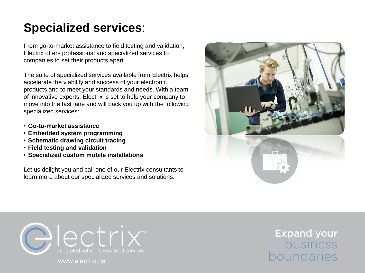#### **Specialized services**:

From go-to-market assistance to field testing and validation, Electrix offers professional and specialized services to companies to set their products apart.

The suite of specialized services available from Electrix helps accelerate the viability and success of your electronic products and to meet your standards and needs. With a team of innovative experts, Electrix is set to help your company to move into the fast lane and will back you up with the following specialized services:

- **Go-to-market assistance**
- **Embedded system programming**
- **Schematic drawing circuit tracing**
- **Field testing and validation**
- **Specialized custom mobile installations**

Let us delight you and call one of our Electrix consultants to learn more about our specialized services and solutions.





www.electrix.ca